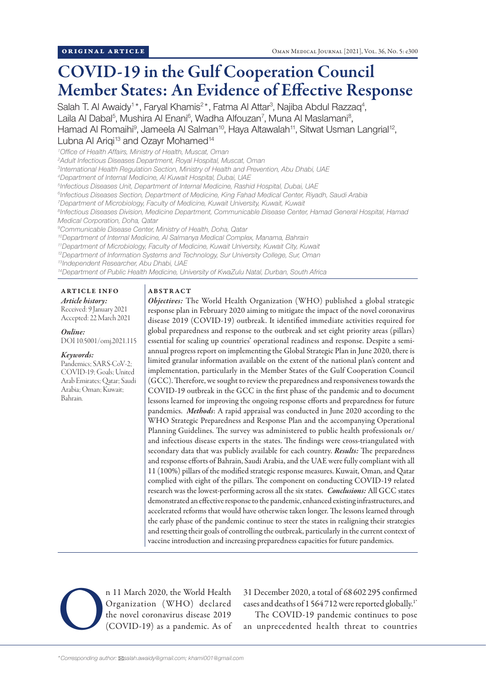# COVID-19 in the Gulf Cooperation Council Member States: An Evidence of Effective Response

Salah T. Al Awaidy<sup>1\*</sup>, Faryal Khamis<sup>2\*</sup>, Fatma Al Attar<sup>3</sup>, Najiba Abdul Razzaq<sup>4</sup>, Laila Al Dabal<sup>5</sup>, Mushira Al Enani<sup>6</sup>, Wadha Alfouzan<sup>7</sup>, Muna Al Maslamani<sup>8</sup>, Hamad Al Romaihi<sup>9</sup>, Jameela Al Salman<sup>10</sup>, Haya Altawalah<sup>11</sup>, Sitwat Usman Langrial<sup>12</sup>, Lubna Al Arigi<sup>13</sup> and Ozayr Mohamed<sup>14</sup>

 *Office of Health Affairs, Ministry of Health, Muscat, Oman Adult Infectious Diseases Department, Royal Hospital, Muscat, Oman International Health Regulation Section, Ministry of Health and Prevention, Abu Dhabi, UAE Department of Internal Medicine, Al Kuwait Hospital, Dubai, UAE Infectious Diseases Unit, Department of Internal Medicine, Rashid Hospital, Dubai, UAE Infectious Diseases Section, Department of Medicine, King Fahad Medical Center, Riyadh, Saudi Arabia Department of Microbiology, Faculty of Medicine, Kuwait University, Kuwait, Kuwait Infectious Diseases Division, Medicine Department, Communicable Disease Center, Hamad General Hospital, Hamad Medical Corporation, Doha, Qatar Communicable Disease Center, Ministry of Health, Doha, Qatar 10Department of Internal Medicine, Al Salmanya Medical Complex, Manama, Bahrain 11Department of Microbiology, Faculty of Medicine, Kuwait University, Kuwait City, Kuwait 12Department of Information Systems and Technology, Sur University College, Sur, Oman*

*13Independent Researcher, Abu Dhabi, UAE*

*14Department of Public Health Medicine, University of KwaZulu Natal, Durban, South Africa*

## ARTICLE INFO *Article history:*

Received: 9 January 2021 Accepted: 22 March 2021

*Online:* DOI 10.5001/omj.2021.115

#### *Keywords:*

Pandemics; SARS-CoV-2; COVID-19; Goals; United Arab Emirates; Qatar; Saudi Arabia; Oman; Kuwait; Bahrain.

#### ABSTRACT

*Objectives:* The World Health Organization (WHO) published a global strategic response plan in February 2020 aiming to mitigate the impact of the novel coronavirus disease 2019 (COVID-19) outbreak. It identified immediate activities required for global preparedness and response to the outbreak and set eight priority areas (pillars) essential for scaling up countries' operational readiness and response. Despite a semiannual progress report on implementing the Global Strategic Plan in June 2020, there is limited granular information available on the extent of the national plan's content and implementation, particularly in the Member States of the Gulf Cooperation Council (GCC). Therefore, we sought to review the preparedness and responsiveness towards the COVID-19 outbreak in the GCC in the first phase of the pandemic and to document lessons learned for improving the ongoing response efforts and preparedness for future pandemics. *Methods*: A rapid appraisal was conducted in June 2020 according to the WHO Strategic Preparedness and Response Plan and the accompanying Operational Planning Guidelines. The survey was administered to public health professionals or/ and infectious disease experts in the states. The findings were cross-triangulated with secondary data that was publicly available for each country. *Results:* The preparedness and response efforts of Bahrain, Saudi Arabia, and the UAE were fully compliant with all 11 (100%) pillars of the modified strategic response measures. Kuwait, Oman, and Qatar complied with eight of the pillars. The component on conducting COVID-19 related research was the lowest-performing across all the six states. *Conclusions:* All GCC states demonstrated an effective response to the pandemic, enhanced existing infrastructures, and accelerated reforms that would have otherwise taken longer. The lessons learned through the early phase of the pandemic continue to steer the states in realigning their strategies and resetting their goals of controlling the outbreak, particularly in the current context of vaccine introduction and increasing preparedness capacities for future pandemics.

n 11 March 2020, the World Health<br>Organization (WHO) declared<br>the novel coronavirus disease 2019<br>(COVID-19) as a pandemic. As of Organization (WHO) declared the novel coronavirus disease 2019 (COVID-19) as a pandemic. As of

31 December 2020, a total of 68 602 295 confirmed cases and deaths of 1564712 were reported globally.<sup>1\*</sup>

The COVID-19 pandemic continues to pose an unprecedented health threat to countries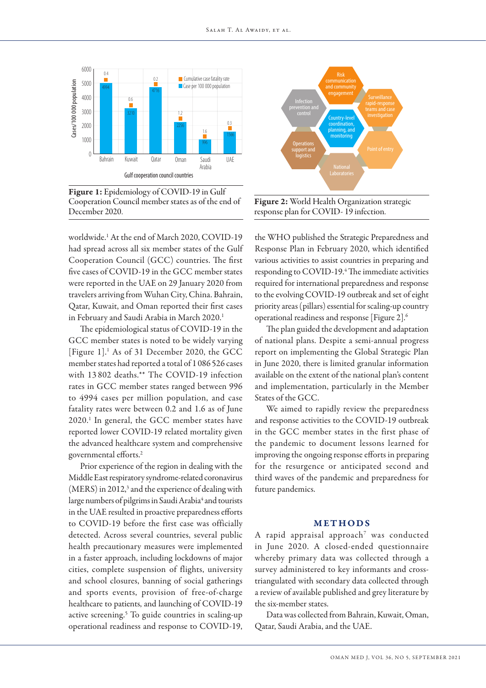

Figure 1: Epidemiology of COVID-19 in Gulf Cooperation Council member states as of the end of December 2020.

worldwide.1 At the end of March 2020, COVID-19 had spread across all six member states of the Gulf Cooperation Council (GCC) countries. The first five cases of COVID-19 in the GCC member states were reported in the UAE on 29 January 2020 from travelers arriving from Wuhan City, China. Bahrain, Qatar, Kuwait, and Oman reported their first cases in February and Saudi Arabia in March 2020.<sup>1</sup>

The epidemiological status of COVID-19 in the GCC member states is noted to be widely varying [Figure 1].<sup>1</sup> As of 31 December 2020, the GCC member states had reported a total of 1 086526 cases with 13 802 deaths.\*\* The COVID-19 infection rates in GCC member states ranged between 996 to 4994 cases per million population, and case fatality rates were between 0.2 and 1.6 as of June 2020.1 In general, the GCC member states have reported lower COVID-19 related mortality given the advanced healthcare system and comprehensive governmental efforts.2

Prior experience of the region in dealing with the Middle East respiratory syndrome-related coronavirus  $(MERS)$  in 2012,<sup>3</sup> and the experience of dealing with large numbers of pilgrims in Saudi Arabia<sup>4</sup> and tourists in the UAE resulted in proactive preparedness efforts to COVID-19 before the first case was officially detected. Across several countries, several public health precautionary measures were implemented in a faster approach, including lockdowns of major cities, complete suspension of flights, university and school closures, banning of social gatherings and sports events, provision of free-of-charge healthcare to patients, and launching of COVID-19 active screening.<sup>5</sup> To guide countries in scaling-up operational readiness and response to COVID-19,



Figure 2: World Health Organization strategic response plan for COVID- 19 infection.

the WHO published the Strategic Preparedness and Response Plan in February 2020, which identified various activities to assist countries in preparing and responding to COVID-19.<sup>4</sup> The immediate activities required for international preparedness and response to the evolving COVID-19 outbreak and set of eight priority areas (pillars) essential for scaling-up country operational readiness and response [Figure 2].6

The plan guided the development and adaptation of national plans. Despite a semi-annual progress report on implementing the Global Strategic Plan in June 2020, there is limited granular information available on the extent of the national plan's content and implementation, particularly in the Member States of the GCC.

We aimed to rapidly review the preparedness and response activities to the COVID-19 outbreak in the GCC member states in the first phase of the pandemic to document lessons learned for improving the ongoing response efforts in preparing for the resurgence or anticipated second and third waves of the pandemic and preparedness for future pandemics.

#### METHODS

A rapid appraisal approach7 was conducted in June 2020. A closed-ended questionnaire whereby primary data was collected through a survey administered to key informants and crosstriangulated with secondary data collected through a review of available published and grey literature by the six-member states.

Data was collected from Bahrain, Kuwait, Oman, Qatar, Saudi Arabia, and the UAE.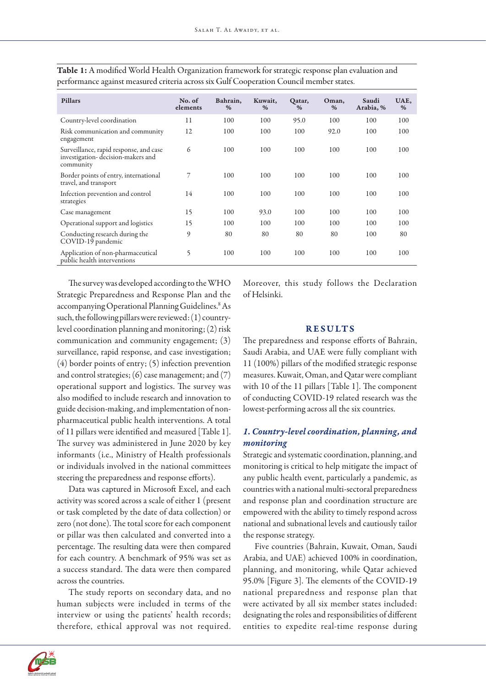| <b>Pillars</b>                                                                           | No. of<br>elements | Bahrain,<br>% | Kuwait,<br>% | Qatar,<br>$\%$ | Oman,<br>$\%$ | Saudi<br>Arabia, % | UAE,<br>% |
|------------------------------------------------------------------------------------------|--------------------|---------------|--------------|----------------|---------------|--------------------|-----------|
| Country-level coordination                                                               | 11                 | 100           | 100          | 95.0           | 100           | 100                | 100       |
| Risk communication and community<br>engagement                                           | 12                 | 100           | 100          | 100            | 92.0          | 100                | 100       |
| Surveillance, rapid response, and case<br>investigation-decision-makers and<br>community | 6                  | 100           | 100          | 100            | 100           | 100                | 100       |
| Border points of entry, international<br>travel, and transport                           | 7                  | 100           | 100          | 100            | 100           | 100                | 100       |
| Infection prevention and control<br>strategies                                           | 14                 | 100           | 100          | 100            | 100           | 100                | 100       |
| Case management                                                                          | 15                 | 100           | 93.0         | 100            | 100           | 100                | 100       |
| Operational support and logistics                                                        | 15                 | 100           | 100          | 100            | 100           | 100                | 100       |
| Conducting research during the<br>COVID-19 pandemic                                      | 9                  | 80            | 80           | 80             | 80            | 100                | 80        |
| Application of non-pharmaceutical<br>public health interventions                         | 5                  | 100           | 100          | 100            | 100           | 100                | 100       |

Table 1: A modified World Health Organization framework for strategic response plan evaluation and performance against measured criteria across six Gulf Cooperation Council member states.

The survey was developed according to the WHO Strategic Preparedness and Response Plan and the accompanying Operational Planning Guidelines.<sup>8</sup> As such, the following pillars were reviewed: (1) countrylevel coordination planning and monitoring; (2) risk communication and community engagement; (3) surveillance, rapid response, and case investigation; (4) border points of entry; (5) infection prevention and control strategies; (6) case management; and (7) operational support and logistics. The survey was also modified to include research and innovation to guide decision-making, and implementation of nonpharmaceutical public health interventions. A total of 11 pillars were identified and measured [Table 1]. The survey was administered in June 2020 by key informants (i.e., Ministry of Health professionals or individuals involved in the national committees steering the preparedness and response efforts).

Data was captured in Microsoft Excel, and each activity was scored across a scale of either 1 (present or task completed by the date of data collection) or zero (not done). The total score for each component or pillar was then calculated and converted into a percentage. The resulting data were then compared for each country. A benchmark of 95% was set as a success standard. The data were then compared across the countries.

The study reports on secondary data, and no human subjects were included in terms of the interview or using the patients' health records; therefore, ethical approval was not required. Moreover, this study follows the Declaration of Helsinki.

#### RESULTS

The preparedness and response efforts of Bahrain, Saudi Arabia, and UAE were fully compliant with 11 (100%) pillars of the modified strategic response measures. Kuwait, Oman, and Qatar were compliant with 10 of the 11 pillars [Table 1]. The component of conducting COVID-19 related research was the lowest-performing across all the six countries.

## *1. Country-level coordination, planning, and monitoring*

Strategic and systematic coordination, planning, and monitoring is critical to help mitigate the impact of any public health event, particularly a pandemic, as countries with a national multi-sectoral preparedness and response plan and coordination structure are empowered with the ability to timely respond across national and subnational levels and cautiously tailor the response strategy.

Five countries (Bahrain, Kuwait, Oman, Saudi Arabia, and UAE) achieved 100% in coordination, planning, and monitoring, while Qatar achieved 95.0% [Figure 3]. The elements of the COVID-19 national preparedness and response plan that were activated by all six member states included: designating the roles and responsibilities of different entities to expedite real-time response during

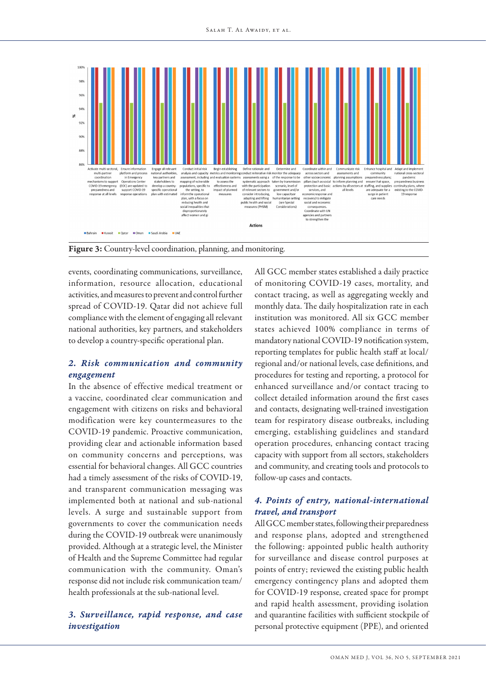

Figure 3: Country-level coordination, planning, and monitoring.

events, coordinating communications, surveillance, information, resource allocation, educational activities, and measures to prevent and control further spread of COVID-19. Qatar did not achieve full compliance with the element of engaging all relevant national authorities, key partners, and stakeholders to develop a country-specific operational plan.

## *2. Risk communication and community engagement*

In the absence of effective medical treatment or a vaccine, coordinated clear communication and engagement with citizens on risks and behavioral modification were key countermeasures to the COVID-19 pandemic. Proactive communication, providing clear and actionable information based on community concerns and perceptions, was essential for behavioral changes. All GCC countries had a timely assessment of the risks of COVID-19, and transparent communication messaging was implemented both at national and sub-national levels. A surge and sustainable support from governments to cover the communication needs during the COVID-19 outbreak were unanimously provided. Although at a strategic level, the Minister of Health and the Supreme Committee had regular communication with the community. Oman's response did not include risk communication team/ health professionals at the sub-national level.

## *3. Surveillance, rapid response, and case investigation*

All GCC member states established a daily practice of monitoring COVID-19 cases, mortality, and contact tracing, as well as aggregating weekly and monthly data. The daily hospitalization rate in each institution was monitored. All six GCC member states achieved 100% compliance in terms of mandatory national COVID-19 notification system, reporting templates for public health staff at local/ regional and/or national levels, case definitions, and procedures for testing and reporting, a protocol for enhanced surveillance and/or contact tracing to collect detailed information around the first cases and contacts, designating well-trained investigation team for respiratory disease outbreaks, including emerging, establishing guidelines and standard operation procedures, enhancing contact tracing capacity with support from all sectors, stakeholders and community, and creating tools and protocols to follow-up cases and contacts.

## *4. Points of entry, national-international travel, and transport*

All GCC member states, following their preparedness and response plans, adopted and strengthened the following: appointed public health authority for surveillance and disease control purposes at points of entry; reviewed the existing public health emergency contingency plans and adopted them for COVID-19 response, created space for prompt and rapid health assessment, providing isolation and quarantine facilities with sufficient stockpile of personal protective equipment (PPE), and oriented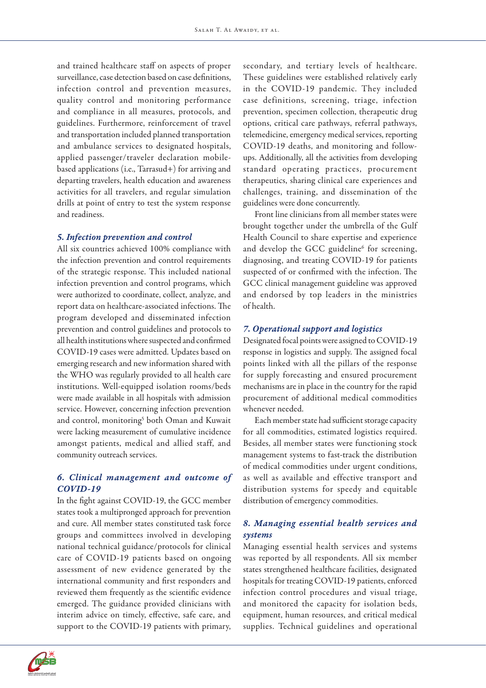and trained healthcare staff on aspects of proper surveillance, case detection based on case definitions, infection control and prevention measures, quality control and monitoring performance and compliance in all measures, protocols, and guidelines. Furthermore, reinforcement of travel and transportation included planned transportation and ambulance services to designated hospitals, applied passenger/traveler declaration mobilebased applications (i.e., Tarrasud+) for arriving and departing travelers, health education and awareness activities for all travelers, and regular simulation drills at point of entry to test the system response and readiness.

#### *5. Infection prevention and control*

All six countries achieved 100% compliance with the infection prevention and control requirements of the strategic response. This included national infection prevention and control programs, which were authorized to coordinate, collect, analyze, and report data on healthcare-associated infections. The program developed and disseminated infection prevention and control guidelines and protocols to all health institutions where suspected and confirmed COVID-19 cases were admitted. Updates based on emerging research and new information shared with the WHO was regularly provided to all health care institutions. Well-equipped isolation rooms/beds were made available in all hospitals with admission service. However, concerning infection prevention and control, monitoring<sup>5</sup> both Oman and Kuwait were lacking measurement of cumulative incidence amongst patients, medical and allied staff, and community outreach services.

## *6. Clinical management and outcome of COVID-19*

In the fight against COVID-19, the GCC member states took a multipronged approach for prevention and cure. All member states constituted task force groups and committees involved in developing national technical guidance/protocols for clinical care of COVID-19 patients based on ongoing assessment of new evidence generated by the international community and first responders and reviewed them frequently as the scientific evidence emerged. The guidance provided clinicians with interim advice on timely, effective, safe care, and support to the COVID-19 patients with primary,

secondary, and tertiary levels of healthcare. These guidelines were established relatively early in the COVID-19 pandemic. They included case definitions, screening, triage, infection prevention, specimen collection, therapeutic drug options, critical care pathways, referral pathways, telemedicine, emergency medical services, reporting COVID-19 deaths, and monitoring and followups. Additionally, all the activities from developing standard operating practices, procurement therapeutics, sharing clinical care experiences and challenges, training, and dissemination of the guidelines were done concurrently.

Front line clinicians from all member states were brought together under the umbrella of the Gulf Health Council to share expertise and experience and develop the GCC guideline<sup>6</sup> for screening, diagnosing, and treating COVID-19 for patients suspected of or confirmed with the infection. The GCC clinical management guideline was approved and endorsed by top leaders in the ministries of health.

#### *7. Operational support and logistics*

Designated focal points were assigned to COVID-19 response in logistics and supply. The assigned focal points linked with all the pillars of the response for supply forecasting and ensured procurement mechanisms are in place in the country for the rapid procurement of additional medical commodities whenever needed.

Each member state had sufficient storage capacity for all commodities, estimated logistics required. Besides, all member states were functioning stock management systems to fast-track the distribution of medical commodities under urgent conditions, as well as available and effective transport and distribution systems for speedy and equitable distribution of emergency commodities.

## *8. Managing essential health services and systems*

Managing essential health services and systems was reported by all respondents. All six member states strengthened healthcare facilities, designated hospitals for treating COVID-19 patients, enforced infection control procedures and visual triage, and monitored the capacity for isolation beds, equipment, human resources, and critical medical supplies. Technical guidelines and operational

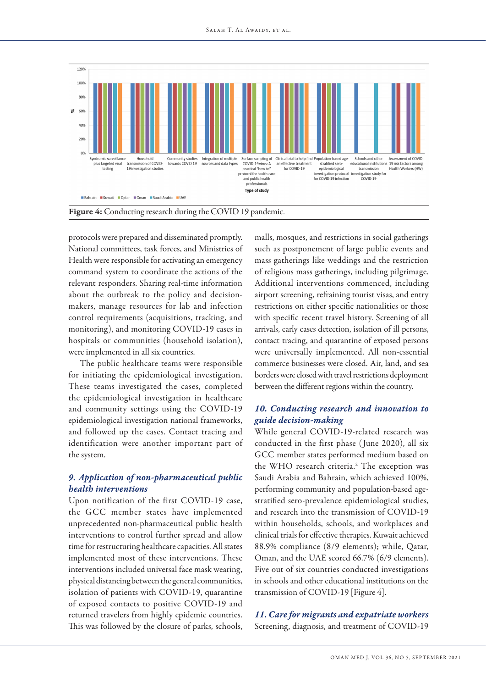

protocols were prepared and disseminated promptly. National committees, task forces, and Ministries of Health were responsible for activating an emergency command system to coordinate the actions of the relevant responders. Sharing real-time information about the outbreak to the policy and decisionmakers, manage resources for lab and infection control requirements (acquisitions, tracking, and monitoring), and monitoring COVID-19 cases in hospitals or communities (household isolation), were implemented in all six countries.

The public healthcare teams were responsible for initiating the epidemiological investigation. These teams investigated the cases, completed the epidemiological investigation in healthcare and community settings using the COVID-19 epidemiological investigation national frameworks, and followed up the cases. Contact tracing and identification were another important part of the system.

## *9. Application of non-pharmaceutical public health interventions*

Upon notification of the first COVID-19 case, the GCC member states have implemented unprecedented non-pharmaceutical public health interventions to control further spread and allow time for restructuring healthcare capacities. All states implemented most of these interventions. These interventions included universal face mask wearing, physical distancing between the general communities, isolation of patients with COVID-19, quarantine of exposed contacts to positive COVID-19 and returned travelers from highly epidemic countries. This was followed by the closure of parks, schools, malls, mosques, and restrictions in social gatherings such as postponement of large public events and mass gatherings like weddings and the restriction of religious mass gatherings, including pilgrimage. Additional interventions commenced, including airport screening, refraining tourist visas, and entry restrictions on either specific nationalities or those with specific recent travel history. Screening of all arrivals, early cases detection, isolation of ill persons, contact tracing, and quarantine of exposed persons were universally implemented. All non-essential commerce businesses were closed. Air, land, and sea borders were closed with travel restrictions deployment between the different regions within the country.

## *10. Conducting research and innovation to guide decision-making*

While general COVID-19-related research was conducted in the first phase ( June 2020), all six GCC member states performed medium based on the WHO research criteria.<sup>2</sup> The exception was Saudi Arabia and Bahrain, which achieved 100%, performing community and population-based agestratified sero-prevalence epidemiological studies, and research into the transmission of COVID-19 within households, schools, and workplaces and clinical trials for effective therapies. Kuwait achieved 88.9% compliance (8/9 elements); while, Qatar, Oman, and the UAE scored 66.7% (6/9 elements). Five out of six countries conducted investigations in schools and other educational institutions on the transmission of COVID-19 [Figure 4].

## *11. Care for migrants and expatriate workers* Screening, diagnosis, and treatment of COVID-19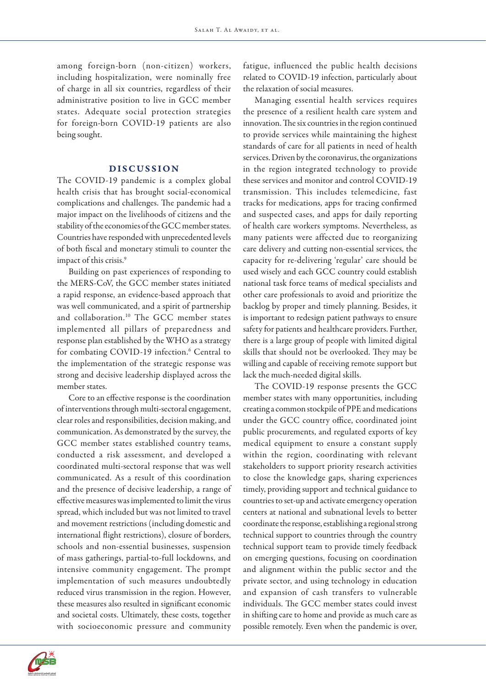among foreign-born (non-citizen) workers, including hospitalization, were nominally free of charge in all six countries, regardless of their administrative position to live in GCC member states. Adequate social protection strategies for foreign-born COVID-19 patients are also being sought.

## DISCUSSION

The COVID-19 pandemic is a complex global health crisis that has brought social-economical complications and challenges. The pandemic had a major impact on the livelihoods of citizens and the stability of the economies of the GCC member states. Countries have responded with unprecedented levels of both fiscal and monetary stimuli to counter the impact of this crisis.<sup>9</sup>

Building on past experiences of responding to the MERS-CoV, the GCC member states initiated a rapid response, an evidence-based approach that was well communicated, and a spirit of partnership and collaboration.10 The GCC member states implemented all pillars of preparedness and response plan established by the WHO as a strategy for combating COVID-19 infection.<sup>6</sup> Central to the implementation of the strategic response was strong and decisive leadership displayed across the member states.

Core to an effective response is the coordination of interventions through multi-sectoral engagement, clear roles and responsibilities, decision making, and communication. As demonstrated by the survey, the GCC member states established country teams, conducted a risk assessment, and developed a coordinated multi-sectoral response that was well communicated. As a result of this coordination and the presence of decisive leadership, a range of effective measures was implemented to limit the virus spread, which included but was not limited to travel and movement restrictions (including domestic and international flight restrictions), closure of borders, schools and non-essential businesses, suspension of mass gatherings, partial-to-full lockdowns, and intensive community engagement. The prompt implementation of such measures undoubtedly reduced virus transmission in the region. However, these measures also resulted in significant economic and societal costs. Ultimately, these costs, together with socioeconomic pressure and community fatigue, influenced the public health decisions related to COVID-19 infection, particularly about the relaxation of social measures.

Managing essential health services requires the presence of a resilient health care system and innovation. The six countries in the region continued to provide services while maintaining the highest standards of care for all patients in need of health services. Driven by the coronavirus, the organizations in the region integrated technology to provide these services and monitor and control COVID-19 transmission. This includes telemedicine, fast tracks for medications, apps for tracing confirmed and suspected cases, and apps for daily reporting of health care workers symptoms. Nevertheless, as many patients were affected due to reorganizing care delivery and cutting non-essential services, the capacity for re-delivering 'regular' care should be used wisely and each GCC country could establish national task force teams of medical specialists and other care professionals to avoid and prioritize the backlog by proper and timely planning. Besides, it is important to redesign patient pathways to ensure safety for patients and healthcare providers. Further, there is a large group of people with limited digital skills that should not be overlooked. They may be willing and capable of receiving remote support but lack the much-needed digital skills.

The COVID-19 response presents the GCC member states with many opportunities, including creating a common stockpile of PPE and medications under the GCC country office, coordinated joint public procurements, and regulated exports of key medical equipment to ensure a constant supply within the region, coordinating with relevant stakeholders to support priority research activities to close the knowledge gaps, sharing experiences timely, providing support and technical guidance to countries to set-up and activate emergency operation centers at national and subnational levels to better coordinate the response, establishing a regional strong technical support to countries through the country technical support team to provide timely feedback on emerging questions, focusing on coordination and alignment within the public sector and the private sector, and using technology in education and expansion of cash transfers to vulnerable individuals. The GCC member states could invest in shifting care to home and provide as much care as possible remotely. Even when the pandemic is over,